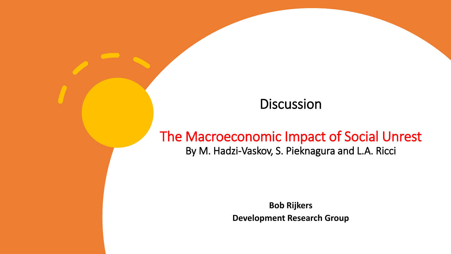### **Discussion**

### The Macroeconomic Impact of Social Unrest By M. Hadzi-Vaskov, S. Pieknagura and L.A. Ricci

**Bob Rijkers Development Research Group**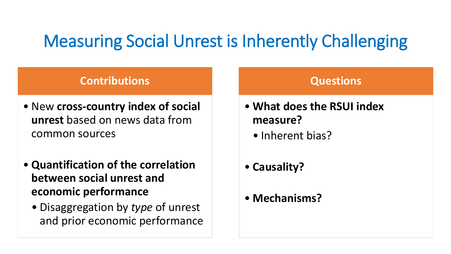## Measuring Social Unrest is Inherently Challenging

### **Contributions**

- New **cross-country index of social unrest** based on news data from common sources
- **Quantification of the correlation between social unrest and economic performance**
	- Disaggregation by *type* of unrest and prior economic performance

#### **Questions**

- **What does the RSUI index measure?** 
	- Inherent bias?
- **Causality?**
- **Mechanisms?**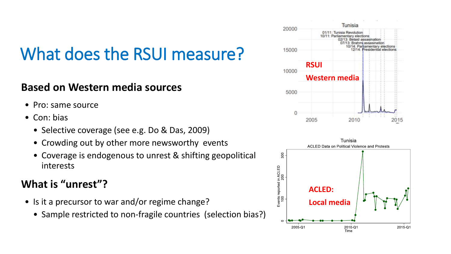## What does the RSUI measure?

#### **Based on Western media sources**

- Pro: same source
- Con: bias
	- Selective coverage (see e.g. Do & Das, 2009)
	- Crowding out by other more newsworthy events
	- Coverage is endogenous to unrest & shifting geopolitical interests

### **What is "unrest"?**

- Is it a precursor to war and/or regime change?
	- Sample restricted to non-fragile countries (selection bias?)



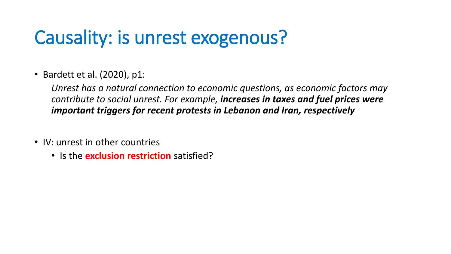# Causality: is unrest exogenous?

• Bardett et al. (2020), p1:

*Unrest has a natural connection to economic questions, as economic factors may contribute to social unrest. For example, increases in taxes and fuel prices were important triggers for recent protests in Lebanon and Iran, respectively*

- IV: unrest in other countries
	- Is the **exclusion restriction** satisfied?